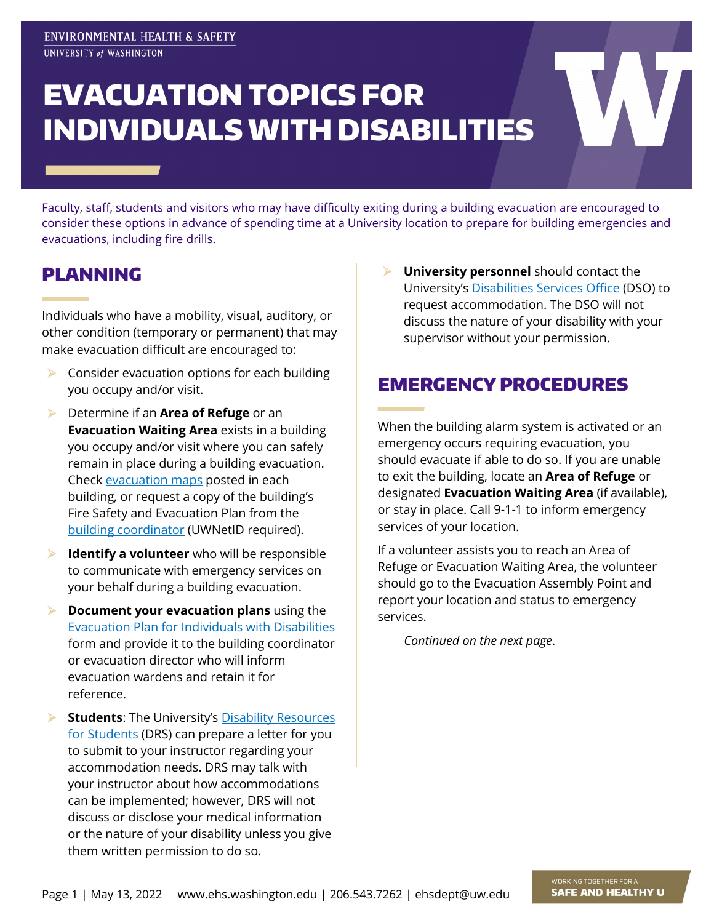# EVACUATION TOPICS FOR INDIVIDUALS WITH DISABILITIES

Faculty, staff, students and visitors who may have difficulty exiting during a building evacuation are encouraged to consider these options in advance of spending time at a University location to prepare for building emergencies and evacuations, including fire drills.

## PLANNING

Individuals who have a mobility, visual, auditory, or other condition (temporary or permanent) that may make evacuation difficult are encouraged to:

- $\triangleright$  Consider evacuation options for each building you occupy and/or visit.
- Determine if an **Area of Refuge** or an **Evacuation Waiting Area** exists in a building you occupy and/or visit where you can safely remain in place during a building evacuation. Check [evacuation maps](https://www.ehs.washington.edu/system/files/resources/Evacuation_Maps_Focus_Sheet.pdf) posted in each building, or request a copy of the building's Fire Safety and Evacuation Plan from the [building coordinator](https://facilities.uw.edu/buildings) (UWNetID required).
- **Identify a volunteer** who will be responsible to communicate with emergency services on your behalf during a building evacuation.
- **Document your evacuation plans** using the [Evacuation Plan for Individuals with Disabilities](https://www.ehs.washington.edu/system/files/resources/disabilityevac_0.docx) form and provide it to the building coordinator or evacuation director who will inform evacuation wardens and retain it for reference.
- **Students:** The University's **Disability Resources** [for Students](https://depts.washington.edu/uwdrs/) (DRS) can prepare a letter for you to submit to your instructor regarding your accommodation needs. DRS may talk with your instructor about how accommodations can be implemented; however, DRS will not discuss or disclose your medical information or the nature of your disability unless you give them written permission to do so.

 **University personnel** should contact the University's [Disabilities Services Office](https://hr.uw.edu/dso/) (DSO) to request accommodation. The DSO will not discuss the nature of your disability with your supervisor without your permission.

#### EMERGENCY PROCEDURES

When the building alarm system is activated or an emergency occurs requiring evacuation, you should evacuate if able to do so. If you are unable to exit the building, locate an **Area of Refuge** or designated **Evacuation Waiting Area** (if available), or stay in place. Call 9-1-1 to inform emergency services of your location.

If a volunteer assists you to reach an Area of Refuge or Evacuation Waiting Area, the volunteer should go to the Evacuation Assembly Point and report your location and status to emergency services.

*Continued on the next page*.